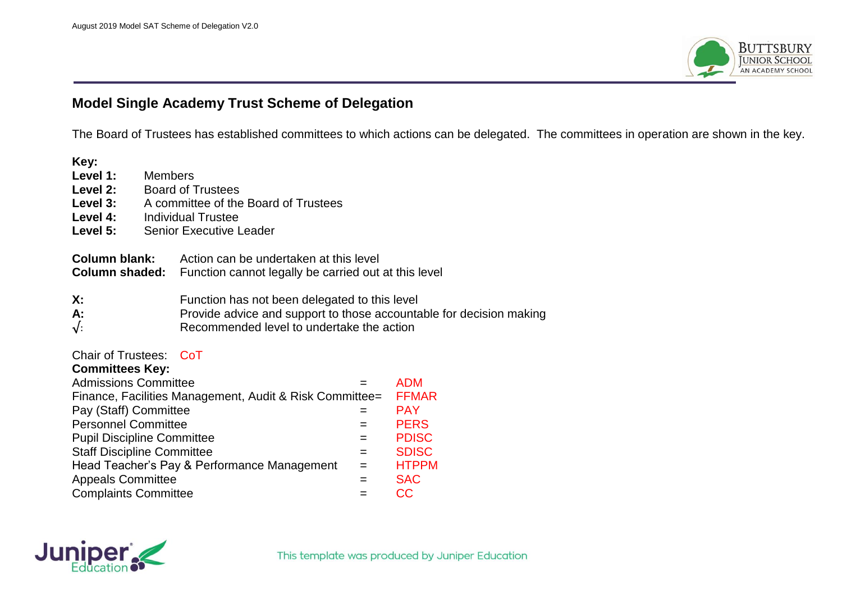

## **Model Single Academy Trust Scheme of Delegation**

The Board of Trustees has established committees to which actions can be delegated. The committees in operation are shown in the key.

| Key:                                                                                   |                                |                                                                                                                                                                   |              |              |  |  |  |  |  |
|----------------------------------------------------------------------------------------|--------------------------------|-------------------------------------------------------------------------------------------------------------------------------------------------------------------|--------------|--------------|--|--|--|--|--|
| Level 1:                                                                               | Members                        |                                                                                                                                                                   |              |              |  |  |  |  |  |
| Level 2:                                                                               |                                | <b>Board of Trustees</b>                                                                                                                                          |              |              |  |  |  |  |  |
| Level 3:                                                                               |                                | A committee of the Board of Trustees                                                                                                                              |              |              |  |  |  |  |  |
| Level 4:                                                                               |                                | <b>Individual Trustee</b>                                                                                                                                         |              |              |  |  |  |  |  |
| Level 5:                                                                               | <b>Senior Executive Leader</b> |                                                                                                                                                                   |              |              |  |  |  |  |  |
| <b>Column blank:</b><br><b>Column shaded:</b>                                          |                                | Action can be undertaken at this level<br>Function cannot legally be carried out at this level                                                                    |              |              |  |  |  |  |  |
| X:<br>A:<br>$\sqrt{2}$                                                                 |                                | Function has not been delegated to this level<br>Provide advice and support to those accountable for decision making<br>Recommended level to undertake the action |              |              |  |  |  |  |  |
| Chair of Trustees: CoT                                                                 |                                |                                                                                                                                                                   |              |              |  |  |  |  |  |
| <b>Committees Key:</b>                                                                 |                                |                                                                                                                                                                   | $=$          | <b>ADM</b>   |  |  |  |  |  |
| <b>Admissions Committee</b><br>Finance, Facilities Management, Audit & Risk Committee= |                                |                                                                                                                                                                   |              | <b>FFMAR</b> |  |  |  |  |  |
| Pay (Staff) Committee                                                                  |                                |                                                                                                                                                                   | $=$          | <b>PAY</b>   |  |  |  |  |  |
| <b>Personnel Committee</b>                                                             |                                |                                                                                                                                                                   | $=$          | <b>PERS</b>  |  |  |  |  |  |
| <b>Pupil Discipline Committee</b>                                                      |                                |                                                                                                                                                                   | $=$          | <b>PDISC</b> |  |  |  |  |  |
| <b>Staff Discipline Committee</b>                                                      |                                | $=$                                                                                                                                                               | <b>SDISC</b> |              |  |  |  |  |  |
| Head Teacher's Pay & Performance Management                                            |                                |                                                                                                                                                                   | $=$          | <b>HTPPM</b> |  |  |  |  |  |
| <b>Appeals Committee</b>                                                               |                                |                                                                                                                                                                   | $=$          | <b>SAC</b>   |  |  |  |  |  |
| <b>Complaints Committee</b>                                                            |                                |                                                                                                                                                                   | $=$          | <b>CC</b>    |  |  |  |  |  |

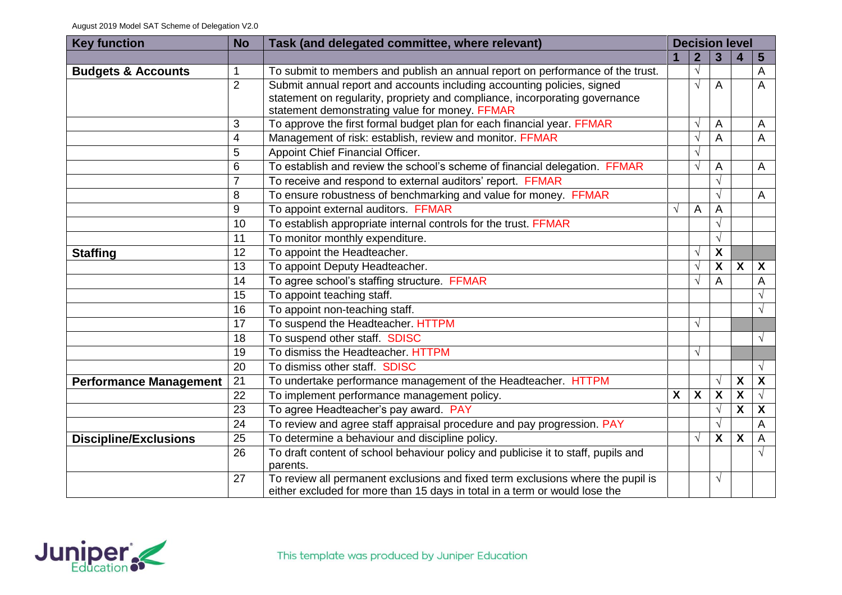| <b>Key function</b>           | <b>No</b>      | Task (and delegated committee, where relevant)                                                                                                                                                           |                           | <b>Decision level</b> |                         |                           |                         |  |  |
|-------------------------------|----------------|----------------------------------------------------------------------------------------------------------------------------------------------------------------------------------------------------------|---------------------------|-----------------------|-------------------------|---------------------------|-------------------------|--|--|
|                               |                |                                                                                                                                                                                                          |                           | $\overline{2}$        | 3                       | 4                         | $5\phantom{.0}$         |  |  |
| <b>Budgets &amp; Accounts</b> | 1              | To submit to members and publish an annual report on performance of the trust.                                                                                                                           |                           | $\sqrt{ }$            |                         |                           | A                       |  |  |
|                               | $\overline{2}$ | Submit annual report and accounts including accounting policies, signed<br>statement on regularity, propriety and compliance, incorporating governance<br>statement demonstrating value for money. FFMAR |                           | V                     | A                       |                           | A                       |  |  |
|                               | 3              | To approve the first formal budget plan for each financial year. FFMAR                                                                                                                                   |                           | $\sqrt{ }$            | A                       |                           | A                       |  |  |
|                               | 4              | Management of risk: establish, review and monitor. FFMAR                                                                                                                                                 |                           | $\sqrt{ }$            | A                       |                           | A                       |  |  |
|                               | 5              | Appoint Chief Financial Officer.                                                                                                                                                                         |                           | $\sqrt{}$             |                         |                           |                         |  |  |
|                               | 6              | To establish and review the school's scheme of financial delegation. FFMAR                                                                                                                               |                           | $\sqrt{ }$            | A                       |                           | A                       |  |  |
|                               | $\overline{7}$ | To receive and respond to external auditors' report. FFMAR                                                                                                                                               |                           |                       | $\sqrt{ }$              |                           |                         |  |  |
|                               | 8              | To ensure robustness of benchmarking and value for money. FFMAR                                                                                                                                          |                           |                       | $\sqrt{ }$              |                           | A                       |  |  |
|                               | 9              | To appoint external auditors. FFMAR                                                                                                                                                                      | $\sqrt{ }$                | A                     | A                       |                           |                         |  |  |
|                               | 10             | To establish appropriate internal controls for the trust. FFMAR                                                                                                                                          |                           |                       | $\sqrt{ }$              |                           |                         |  |  |
|                               | 11             | To monitor monthly expenditure.                                                                                                                                                                          |                           |                       | $\sqrt{ }$              |                           |                         |  |  |
| <b>Staffing</b>               | 12             | To appoint the Headteacher.                                                                                                                                                                              |                           |                       | X                       |                           |                         |  |  |
|                               | 13             | To appoint Deputy Headteacher.                                                                                                                                                                           |                           |                       | X                       | X                         | X                       |  |  |
|                               | 14             | To agree school's staffing structure. FFMAR                                                                                                                                                              |                           |                       | A                       |                           | A                       |  |  |
|                               | 15             | To appoint teaching staff.                                                                                                                                                                               |                           |                       |                         |                           | $\sqrt{}$               |  |  |
|                               | 16             | To appoint non-teaching staff.                                                                                                                                                                           |                           |                       |                         |                           | V                       |  |  |
|                               | 17             | To suspend the Headteacher. HTTPM                                                                                                                                                                        |                           | $\sqrt{ }$            |                         |                           |                         |  |  |
|                               | 18             | To suspend other staff. SDISC                                                                                                                                                                            |                           |                       |                         |                           | $\sqrt{ }$              |  |  |
|                               | 19             | To dismiss the Headteacher, HTTPM                                                                                                                                                                        |                           |                       |                         |                           |                         |  |  |
|                               | 20             | To dismiss other staff SDISC                                                                                                                                                                             |                           |                       |                         |                           | $\sqrt{}$               |  |  |
| <b>Performance Management</b> | 21             | To undertake performance management of the Headteacher. HTTPM                                                                                                                                            |                           |                       | $\sqrt{ }$              | $\overline{\mathbf{X}}$   | $\overline{\mathbf{X}}$ |  |  |
|                               | 22             | To implement performance management policy.                                                                                                                                                              | $\boldsymbol{\mathsf{X}}$ | X                     | $\overline{\mathbf{X}}$ | X                         | $\sqrt{ }$              |  |  |
|                               | 23             | To agree Headteacher's pay award. PAY                                                                                                                                                                    |                           |                       | $\sqrt{ }$              | $\boldsymbol{\mathsf{X}}$ | X                       |  |  |
|                               | 24             | To review and agree staff appraisal procedure and pay progression. PAY                                                                                                                                   |                           |                       | $\sqrt{ }$              |                           | A                       |  |  |
| <b>Discipline/Exclusions</b>  | 25             | To determine a behaviour and discipline policy.                                                                                                                                                          |                           | $\sqrt{ }$            | X                       | $\overline{\mathbf{X}}$   | A                       |  |  |
|                               | 26             | To draft content of school behaviour policy and publicise it to staff, pupils and<br>parents.                                                                                                            |                           |                       |                         |                           | $\sqrt{ }$              |  |  |
|                               | 27             | To review all permanent exclusions and fixed term exclusions where the pupil is<br>either excluded for more than 15 days in total in a term or would lose the                                            |                           |                       | $\sqrt{ }$              |                           |                         |  |  |

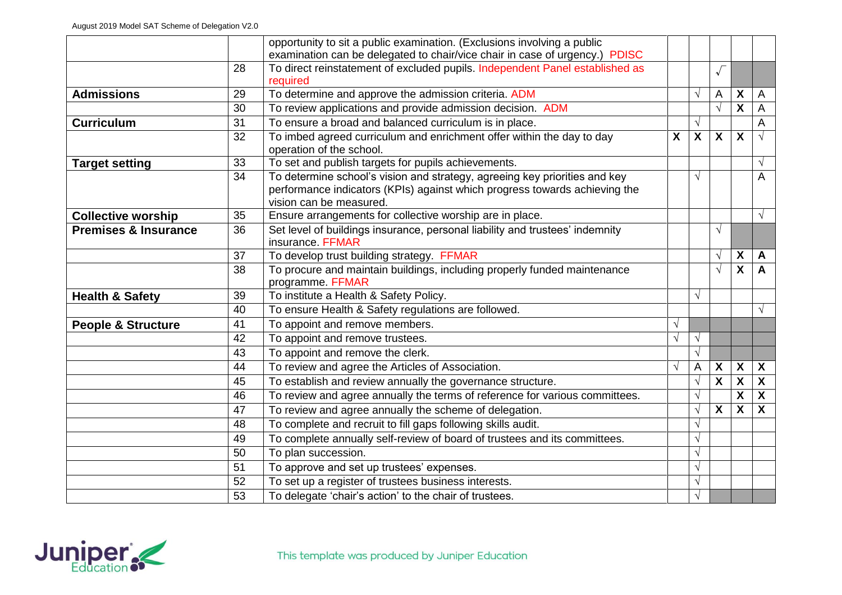|                                 |    | opportunity to sit a public examination. (Exclusions involving a public                                                                                                             |              |                           |                         |                           |                           |
|---------------------------------|----|-------------------------------------------------------------------------------------------------------------------------------------------------------------------------------------|--------------|---------------------------|-------------------------|---------------------------|---------------------------|
|                                 |    | examination can be delegated to chair/vice chair in case of urgency.) PDISC                                                                                                         |              |                           |                         |                           |                           |
|                                 | 28 | To direct reinstatement of excluded pupils. Independent Panel established as                                                                                                        |              |                           | $\sqrt{ }$              |                           |                           |
|                                 |    | required                                                                                                                                                                            |              |                           |                         |                           |                           |
| <b>Admissions</b>               | 29 | To determine and approve the admission criteria. ADM                                                                                                                                |              | $\sqrt{ }$                | Α                       | $\boldsymbol{\mathsf{X}}$ | A                         |
|                                 | 30 | To review applications and provide admission decision. ADM                                                                                                                          |              |                           | $\sqrt{ }$              | $\overline{\mathbf{x}}$   | A                         |
| <b>Curriculum</b>               | 31 | To ensure a broad and balanced curriculum is in place.                                                                                                                              |              | $\sqrt{}$                 |                         |                           | A                         |
|                                 | 32 | To imbed agreed curriculum and enrichment offer within the day to day<br>operation of the school.                                                                                   | $\mathsf{X}$ | $\boldsymbol{\mathsf{X}}$ | $\mathsf{X}$            | $\overline{\mathbf{X}}$   | $\sqrt{}$                 |
| <b>Target setting</b>           | 33 | To set and publish targets for pupils achievements.                                                                                                                                 |              |                           |                         |                           | $\sqrt{ }$                |
|                                 | 34 | To determine school's vision and strategy, agreeing key priorities and key<br>performance indicators (KPIs) against which progress towards achieving the<br>vision can be measured. |              | $\sqrt{ }$                |                         |                           | Α                         |
| <b>Collective worship</b>       | 35 | Ensure arrangements for collective worship are in place.                                                                                                                            |              |                           |                         |                           | $\sqrt{}$                 |
| <b>Premises &amp; Insurance</b> | 36 | Set level of buildings insurance, personal liability and trustees' indemnity<br>insurance. FFMAR                                                                                    |              |                           | $\sqrt{}$               |                           |                           |
|                                 | 37 | To develop trust building strategy. FFMAR                                                                                                                                           |              |                           | $\sqrt{}$               | X                         | A                         |
|                                 | 38 | To procure and maintain buildings, including properly funded maintenance<br>programme. FFMAR                                                                                        |              |                           | $\sqrt{ }$              | $\overline{\mathbf{X}}$   | A                         |
| <b>Health &amp; Safety</b>      | 39 | To institute a Health & Safety Policy.                                                                                                                                              |              | $\sqrt{ }$                |                         |                           |                           |
|                                 | 40 | To ensure Health & Safety regulations are followed.                                                                                                                                 |              |                           |                         |                           | $\sqrt{}$                 |
| <b>People &amp; Structure</b>   | 41 | To appoint and remove members.                                                                                                                                                      | $\sqrt{ }$   |                           |                         |                           |                           |
|                                 | 42 | To appoint and remove trustees.                                                                                                                                                     | $\sqrt{ }$   | $\sqrt{ }$                |                         |                           |                           |
|                                 | 43 | To appoint and remove the clerk.                                                                                                                                                    |              | $\sqrt{ }$                |                         |                           |                           |
|                                 | 44 | To review and agree the Articles of Association.                                                                                                                                    | $\sqrt{}$    | A                         | X                       | X                         | $\boldsymbol{X}$          |
|                                 | 45 | To establish and review annually the governance structure.                                                                                                                          |              | $\sqrt{ }$                | $\overline{\mathbf{X}}$ | $\overline{\mathbf{X}}$   | $\mathsf{X}$              |
|                                 | 46 | To review and agree annually the terms of reference for various committees.                                                                                                         |              | $\sqrt{ }$                |                         | $\overline{\mathbf{X}}$   | $\overline{\mathbf{X}}$   |
|                                 | 47 | To review and agree annually the scheme of delegation.                                                                                                                              |              | $\sqrt{}$                 | X                       | $\boldsymbol{\mathsf{X}}$ | $\boldsymbol{\mathsf{X}}$ |
|                                 | 48 | To complete and recruit to fill gaps following skills audit.                                                                                                                        |              | $\sqrt{ }$                |                         |                           |                           |
|                                 | 49 | To complete annually self-review of board of trustees and its committees.                                                                                                           |              | $\sqrt{ }$                |                         |                           |                           |
|                                 | 50 | To plan succession.                                                                                                                                                                 |              | $\sqrt{ }$                |                         |                           |                           |
|                                 | 51 | To approve and set up trustees' expenses.                                                                                                                                           |              | $\sqrt{ }$                |                         |                           |                           |
|                                 | 52 | To set up a register of trustees business interests.                                                                                                                                |              | $\sqrt{ }$                |                         |                           |                           |
|                                 | 53 | To delegate 'chair's action' to the chair of trustees.                                                                                                                              |              | $\sqrt{ }$                |                         |                           |                           |